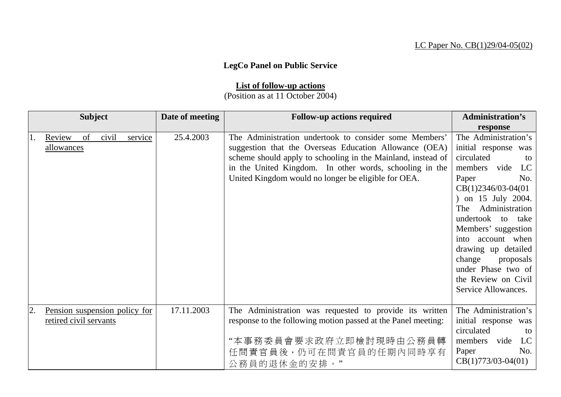## LC Paper No. CB(1)29/04-05(02)

## **LegCo Panel on Public Service**

## **List of follow-up actions**

(Position as at 11 October 2004)

| <b>Subject</b>               |                               | Date of meeting | <b>Follow-up actions required</b>                                                                                                                                                                                                                                                                  | <b>Administration's</b>                                                                                                                                                                                                                                                                                                                                     |
|------------------------------|-------------------------------|-----------------|----------------------------------------------------------------------------------------------------------------------------------------------------------------------------------------------------------------------------------------------------------------------------------------------------|-------------------------------------------------------------------------------------------------------------------------------------------------------------------------------------------------------------------------------------------------------------------------------------------------------------------------------------------------------------|
|                              |                               |                 |                                                                                                                                                                                                                                                                                                    | response                                                                                                                                                                                                                                                                                                                                                    |
| of<br>Review<br>allowances   | civil<br>service              | 25.4.2003       | The Administration undertook to consider some Members'<br>suggestion that the Overseas Education Allowance (OEA)<br>scheme should apply to schooling in the Mainland, instead of<br>in the United Kingdom. In other words, schooling in the<br>United Kingdom would no longer be eligible for OEA. | The Administration's<br>initial response was<br>circulated<br>to<br>members vide LC<br>Paper<br>No.<br>$CB(1)2346/03-04(01)$<br>) on 15 July 2004.<br>Administration<br>The<br>undertook to take<br>Members' suggestion<br>into account when<br>drawing up detailed<br>change proposals<br>under Phase two of<br>the Review on Civil<br>Service Allowances. |
| 2.<br>retired civil servants | Pension suspension policy for | 17.11.2003      | The Administration was requested to provide its written<br>response to the following motion passed at the Panel meeting:<br>"本事務委員會要求政府立即檢討現時由公務員轉<br>任問責官員後,仍可在問責官員的任期內同時享有<br>公務員的退休金的安排。"                                                                                                       | The Administration's<br>initial response was<br>circulated<br>to<br>LC<br>members vide<br>No.<br>Paper<br>$CB(1)773/03-04(01)$                                                                                                                                                                                                                              |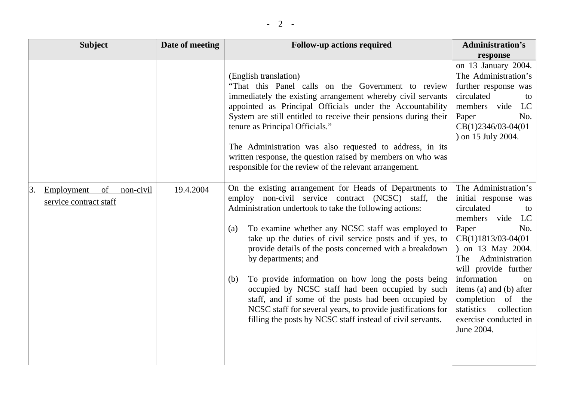| <b>Subject</b>                                                | Date of meeting | <b>Follow-up actions required</b>                                                                                                                                                                                                                                                                                                                                                                                                                                                                                                                                                                                                                                                         | <b>Administration's</b>                                                                                                                                                                                                                                                                                                                              |
|---------------------------------------------------------------|-----------------|-------------------------------------------------------------------------------------------------------------------------------------------------------------------------------------------------------------------------------------------------------------------------------------------------------------------------------------------------------------------------------------------------------------------------------------------------------------------------------------------------------------------------------------------------------------------------------------------------------------------------------------------------------------------------------------------|------------------------------------------------------------------------------------------------------------------------------------------------------------------------------------------------------------------------------------------------------------------------------------------------------------------------------------------------------|
|                                                               |                 |                                                                                                                                                                                                                                                                                                                                                                                                                                                                                                                                                                                                                                                                                           | response                                                                                                                                                                                                                                                                                                                                             |
|                                                               |                 | (English translation)<br>"That this Panel calls on the Government to review<br>immediately the existing arrangement whereby civil servants<br>appointed as Principal Officials under the Accountability<br>System are still entitled to receive their pensions during their<br>tenure as Principal Officials."                                                                                                                                                                                                                                                                                                                                                                            | on 13 January 2004.<br>The Administration's<br>further response was<br>circulated<br>to<br>members vide<br>LC<br>No.<br>Paper<br>CB(1)2346/03-04(01<br>) on 15 July 2004.                                                                                                                                                                            |
|                                                               |                 | The Administration was also requested to address, in its<br>written response, the question raised by members on who was<br>responsible for the review of the relevant arrangement.                                                                                                                                                                                                                                                                                                                                                                                                                                                                                                        |                                                                                                                                                                                                                                                                                                                                                      |
| 3.<br>Employment<br>of<br>non-civil<br>service contract staff | 19.4.2004       | On the existing arrangement for Heads of Departments to<br>employ non-civil service contract (NCSC) staff, the<br>Administration undertook to take the following actions:<br>To examine whether any NCSC staff was employed to<br>(a)<br>take up the duties of civil service posts and if yes, to<br>provide details of the posts concerned with a breakdown<br>by departments; and<br>To provide information on how long the posts being<br>(b)<br>occupied by NCSC staff had been occupied by such<br>staff, and if some of the posts had been occupied by<br>NCSC staff for several years, to provide justifications for<br>filling the posts by NCSC staff instead of civil servants. | The Administration's<br>initial response was<br>circulated<br>to<br>members vide<br>LC<br>Paper<br>No.<br>$CB(1)1813/03-04(01)$<br>) on 13 May 2004.<br>Administration<br><b>The</b><br>will provide further<br>information<br>on<br>items (a) and (b) after<br>completion of the<br>collection<br>statistics<br>exercise conducted in<br>June 2004. |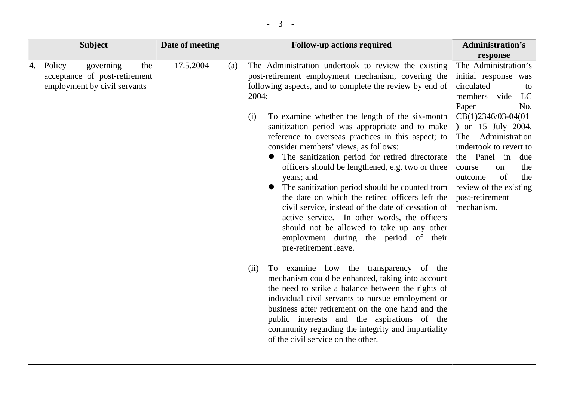|    | <b>Subject</b>                                                                              | Date of meeting |     | <b>Follow-up actions required</b>                                                                                                                                                                                                                                                                                                                                                                                                                                                                                                                                                                                                                                                                                                                                                                                                                                                                                                                                                                                                                                                                                                                                                                                                                        | <b>Administration's</b>                                                                                                                                                                                                                                                                                                                   |
|----|---------------------------------------------------------------------------------------------|-----------------|-----|----------------------------------------------------------------------------------------------------------------------------------------------------------------------------------------------------------------------------------------------------------------------------------------------------------------------------------------------------------------------------------------------------------------------------------------------------------------------------------------------------------------------------------------------------------------------------------------------------------------------------------------------------------------------------------------------------------------------------------------------------------------------------------------------------------------------------------------------------------------------------------------------------------------------------------------------------------------------------------------------------------------------------------------------------------------------------------------------------------------------------------------------------------------------------------------------------------------------------------------------------------|-------------------------------------------------------------------------------------------------------------------------------------------------------------------------------------------------------------------------------------------------------------------------------------------------------------------------------------------|
|    |                                                                                             |                 |     |                                                                                                                                                                                                                                                                                                                                                                                                                                                                                                                                                                                                                                                                                                                                                                                                                                                                                                                                                                                                                                                                                                                                                                                                                                                          | response                                                                                                                                                                                                                                                                                                                                  |
| 4. | Policy<br>governing<br>the<br>acceptance of post-retirement<br>employment by civil servants | 17.5.2004       | (a) | The Administration undertook to review the existing<br>post-retirement employment mechanism, covering the<br>following aspects, and to complete the review by end of<br>2004:<br>To examine whether the length of the six-month<br>(i)<br>sanitization period was appropriate and to make<br>reference to overseas practices in this aspect; to<br>consider members' views, as follows:<br>The sanitization period for retired directorate<br>officers should be lengthened, e.g. two or three<br>years; and<br>The sanitization period should be counted from<br>the date on which the retired officers left the<br>civil service, instead of the date of cessation of<br>active service. In other words, the officers<br>should not be allowed to take up any other<br>employment during the period of their<br>pre-retirement leave.<br>To examine how the transparency of the<br>(ii)<br>mechanism could be enhanced, taking into account<br>the need to strike a balance between the rights of<br>individual civil servants to pursue employment or<br>business after retirement on the one hand and the<br>public interests and the aspirations of the<br>community regarding the integrity and impartiality<br>of the civil service on the other. | The Administration's<br>initial response was<br>circulated<br>to<br>members vide<br>LC<br>Paper<br>No.<br>$CB(1)2346/03-04(01)$<br>) on 15 July 2004.<br>Administration<br>The<br>undertook to revert to<br>the Panel in<br>due<br>the<br>course<br>on<br>of<br>the<br>outcome<br>review of the existing<br>post-retirement<br>mechanism. |
|    |                                                                                             |                 |     |                                                                                                                                                                                                                                                                                                                                                                                                                                                                                                                                                                                                                                                                                                                                                                                                                                                                                                                                                                                                                                                                                                                                                                                                                                                          |                                                                                                                                                                                                                                                                                                                                           |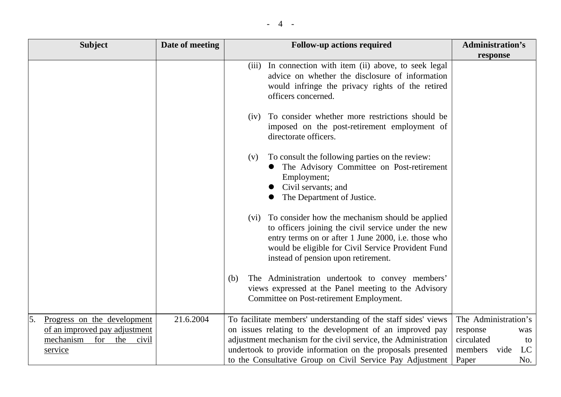|--|

| <b>Subject</b>                                                                                                                  | Date of meeting | <b>Follow-up actions required</b>                                                                                                                                                                                                                                                                                        | <b>Administration's</b>                                                                              |
|---------------------------------------------------------------------------------------------------------------------------------|-----------------|--------------------------------------------------------------------------------------------------------------------------------------------------------------------------------------------------------------------------------------------------------------------------------------------------------------------------|------------------------------------------------------------------------------------------------------|
|                                                                                                                                 |                 |                                                                                                                                                                                                                                                                                                                          | response                                                                                             |
|                                                                                                                                 |                 | (iii) In connection with item (ii) above, to seek legal<br>advice on whether the disclosure of information<br>would infringe the privacy rights of the retired<br>officers concerned.                                                                                                                                    |                                                                                                      |
|                                                                                                                                 |                 | To consider whether more restrictions should be<br>(iv)<br>imposed on the post-retirement employment of<br>directorate officers.                                                                                                                                                                                         |                                                                                                      |
|                                                                                                                                 |                 | To consult the following parties on the review:<br>(V)<br>The Advisory Committee on Post-retirement<br>Employment;<br>Civil servants; and<br>The Department of Justice.                                                                                                                                                  |                                                                                                      |
|                                                                                                                                 |                 | (vi) To consider how the mechanism should be applied<br>to officers joining the civil service under the new<br>entry terms on or after 1 June 2000, i.e. those who<br>would be eligible for Civil Service Provident Fund<br>instead of pension upon retirement.                                                          |                                                                                                      |
|                                                                                                                                 |                 | The Administration undertook to convey members'<br>(b)<br>views expressed at the Panel meeting to the Advisory<br>Committee on Post-retirement Employment.                                                                                                                                                               |                                                                                                      |
| Progress on the development<br>$\overline{5}$ .<br>of an improved pay adjustment<br>mechanism<br>for<br>the<br>civil<br>service | 21.6.2004       | To facilitate members' understanding of the staff sides' views<br>on issues relating to the development of an improved pay<br>adjustment mechanism for the civil service, the Administration<br>undertook to provide information on the proposals presented<br>to the Consultative Group on Civil Service Pay Adjustment | The Administration's<br>response<br>was<br>circulated<br>to<br>LC<br>members<br>vide<br>Paper<br>No. |